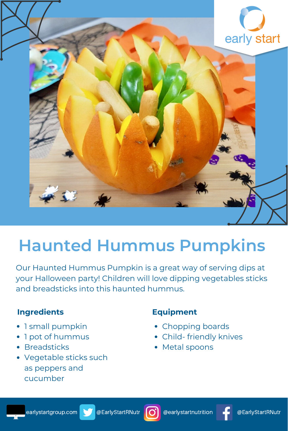

# **Haunted Hummus Pumpkins**

Our Haunted Hummus Pumpkin is a great way of serving dips at your Halloween party! Children will love dipping vegetables sticks and breadsticks into this haunted hummus.

# **Ingredients**

- 1 small pumpkin
- 1 pot of hummus  $\bullet$
- Breadsticks
- Vegetable sticks such as peppers and cucumber

# **Equipment**

- Chopping boards
- Child- friendly knives
- Metal spoons